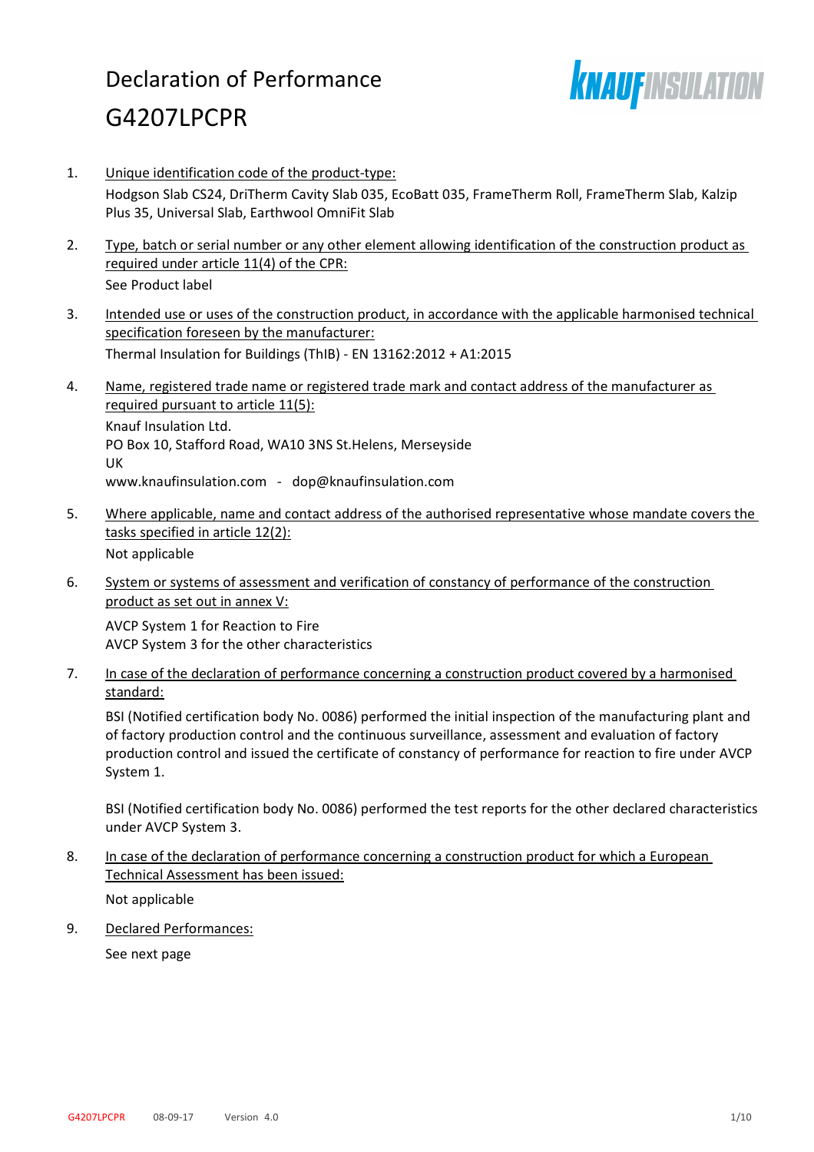# Declaration of Performance G4207LPCPR



- 1. Unique identification code of the product-type: Hodgson Slab CS24, DriTherm Cavity Slab 035, EcoBatt 035, FrameTherm Roll, FrameTherm Slab, Kalzip Plus 35, Universal Slab, Earthwool OmniFit Slab
- 2. Type, batch or serial number or any other element allowing identification of the construction product as required under article 11(4) of the CPR: See Product label
- 3. Intended use or uses of the construction product, in accordance with the applicable harmonised technical specification foreseen by the manufacturer: Thermal Insulation for Buildings (ThIB) - EN 13162:2012 + A1:2015
- 4. Name, registered trade name or registered trade mark and contact address of the manufacturer as required pursuant to article 11(5): Knauf Insulation Ltd. PO Box 10, Stafford Road, WA10 3NS St.Helens, Merseyside UK www.knaufinsulation.com - dop@knaufinsulation.com
- 5. Where applicable, name and contact address of the authorised representative whose mandate covers the tasks specified in article 12(2): Not applicable
- 6. System or systems of assessment and verification of constancy of performance of the construction product as set out in annex V:

AVCP System 1 for Reaction to Fire AVCP System 3 for the other characteristics

7. In case of the declaration of performance concerning a construction product covered by a harmonised standard:

BSI (Notified certification body No. 0086) performed the initial inspection of the manufacturing plant and of factory production control and the continuous surveillance, assessment and evaluation of factory production control and issued the certificate of constancy of performance for reaction to fire under AVCP System 1.

BSI (Notified certification body No. 0086) performed the test reports for the other declared characteristics under AVCP System 3.

8. In case of the declaration of performance concerning a construction product for which a European Technical Assessment has been issued:

Not applicable

9. Declared Performances:

See next page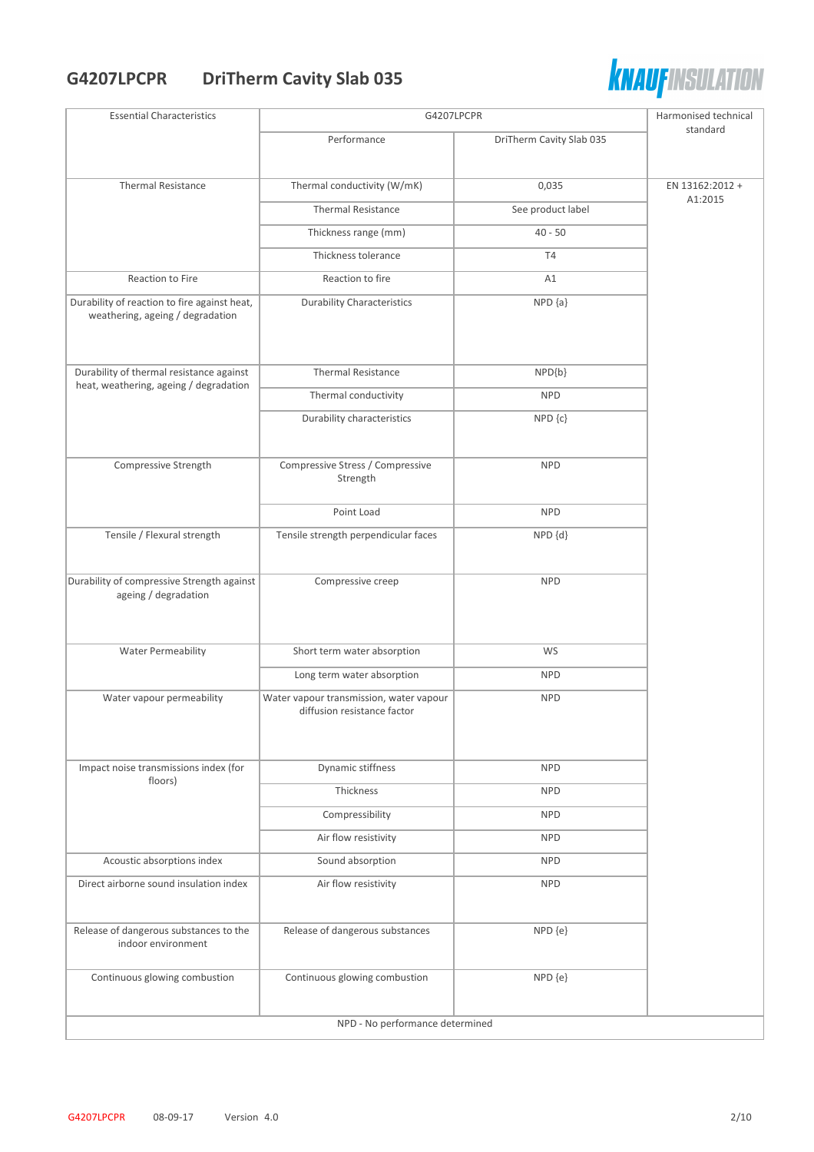## **G4207LPCPR DriTherm Cavity Slab 035**



| <b>Essential Characteristics</b>                                                 | G4207LPCPR                                                             |                          | Harmonised technical |
|----------------------------------------------------------------------------------|------------------------------------------------------------------------|--------------------------|----------------------|
|                                                                                  | Performance                                                            | DriTherm Cavity Slab 035 | standard             |
|                                                                                  |                                                                        |                          |                      |
| <b>Thermal Resistance</b>                                                        | Thermal conductivity (W/mK)                                            | 0,035                    | EN 13162:2012 +      |
|                                                                                  | <b>Thermal Resistance</b>                                              | See product label        | A1:2015              |
|                                                                                  | Thickness range (mm)                                                   | $40 - 50$                |                      |
|                                                                                  | Thickness tolerance                                                    | T <sub>4</sub>           |                      |
| Reaction to Fire                                                                 | Reaction to fire                                                       | A1                       |                      |
| Durability of reaction to fire against heat,<br>weathering, ageing / degradation | <b>Durability Characteristics</b>                                      | $NPD {a}$                |                      |
| Durability of thermal resistance against                                         | <b>Thermal Resistance</b>                                              | NPD{b}                   |                      |
| heat, weathering, ageing / degradation                                           | Thermal conductivity                                                   | <b>NPD</b>               |                      |
|                                                                                  | Durability characteristics                                             | NPD {c}                  |                      |
|                                                                                  |                                                                        |                          |                      |
| Compressive Strength                                                             | Compressive Stress / Compressive<br>Strength                           | <b>NPD</b>               |                      |
|                                                                                  | Point Load                                                             | <b>NPD</b>               |                      |
| Tensile / Flexural strength                                                      | Tensile strength perpendicular faces                                   | NPD {d}                  |                      |
|                                                                                  |                                                                        |                          |                      |
| Durability of compressive Strength against<br>ageing / degradation               | Compressive creep                                                      | <b>NPD</b>               |                      |
|                                                                                  |                                                                        |                          |                      |
|                                                                                  |                                                                        |                          |                      |
| <b>Water Permeability</b>                                                        | Short term water absorption                                            | WS                       |                      |
|                                                                                  | Long term water absorption                                             | <b>NPD</b>               |                      |
| Water vapour permeability                                                        | Water vapour transmission, water vapour<br>diffusion resistance factor | <b>NPD</b>               |                      |
|                                                                                  |                                                                        |                          |                      |
|                                                                                  |                                                                        |                          |                      |
| Impact noise transmissions index (for<br>floors)                                 | Dynamic stiffness                                                      | <b>NPD</b>               |                      |
|                                                                                  | Thickness                                                              | <b>NPD</b>               |                      |
|                                                                                  | Compressibility                                                        | <b>NPD</b>               |                      |
|                                                                                  | Air flow resistivity                                                   | <b>NPD</b>               |                      |
| Acoustic absorptions index                                                       | Sound absorption                                                       | <b>NPD</b>               |                      |
| Direct airborne sound insulation index                                           | Air flow resistivity                                                   | <b>NPD</b>               |                      |
| Release of dangerous substances to the                                           | Release of dangerous substances                                        | NPD {e}                  |                      |
| indoor environment                                                               |                                                                        |                          |                      |
| Continuous glowing combustion                                                    | Continuous glowing combustion                                          | NPD {e}                  |                      |
|                                                                                  | NPD - No performance determined                                        |                          |                      |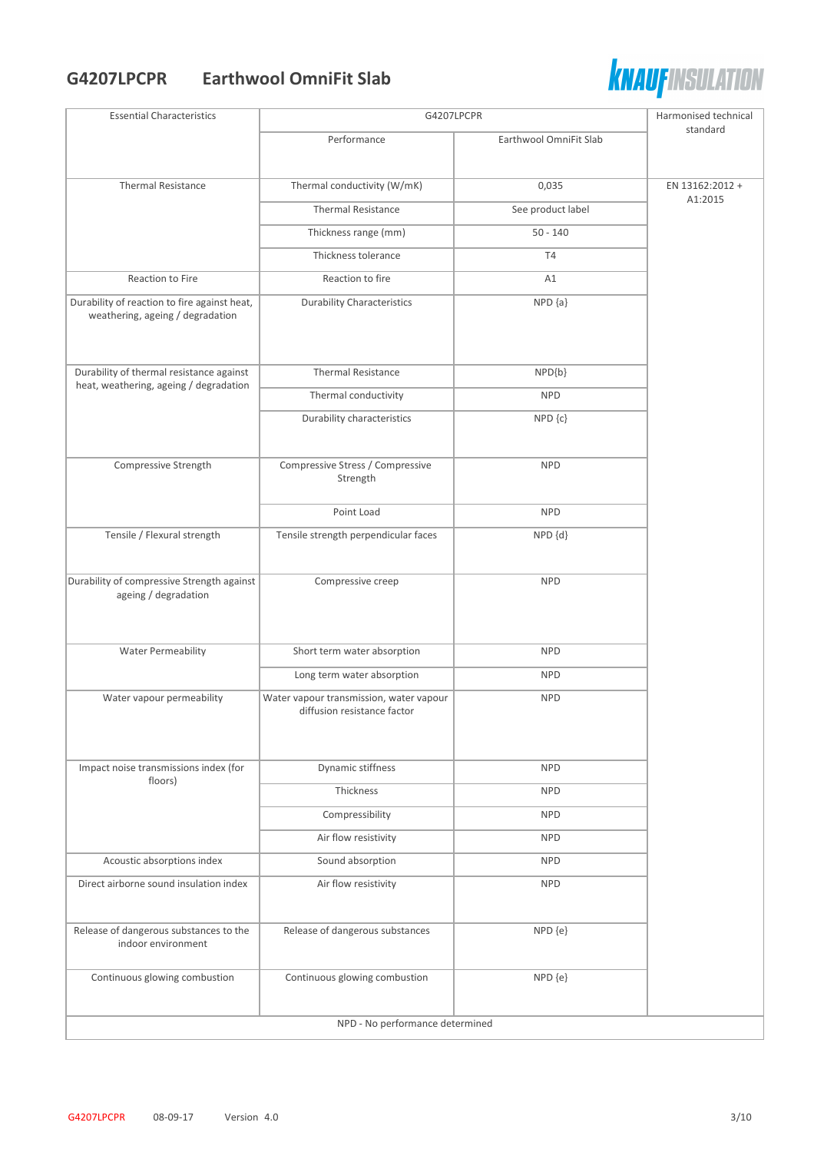#### **G4207LPCPR Earthwool OmniFit Slab**



| <b>Essential Characteristics</b>                                                 | G4207LPCPR                                                             |                        | Harmonised technical |
|----------------------------------------------------------------------------------|------------------------------------------------------------------------|------------------------|----------------------|
|                                                                                  | Performance                                                            | Earthwool OmniFit Slab | standard             |
|                                                                                  |                                                                        |                        |                      |
| <b>Thermal Resistance</b>                                                        | Thermal conductivity (W/mK)                                            | 0,035                  | EN 13162:2012 +      |
|                                                                                  | <b>Thermal Resistance</b>                                              | See product label      | A1:2015              |
|                                                                                  | Thickness range (mm)                                                   | $50 - 140$             |                      |
|                                                                                  | Thickness tolerance                                                    | T4                     |                      |
| Reaction to Fire                                                                 | Reaction to fire                                                       | A1                     |                      |
| Durability of reaction to fire against heat,<br>weathering, ageing / degradation | <b>Durability Characteristics</b>                                      | $NPD {a}$              |                      |
| Durability of thermal resistance against                                         | <b>Thermal Resistance</b>                                              | $NPD{b}$               |                      |
| heat, weathering, ageing / degradation                                           | Thermal conductivity                                                   | <b>NPD</b>             |                      |
|                                                                                  | Durability characteristics                                             | $NPD$ $\{c\}$          |                      |
| Compressive Strength                                                             | Compressive Stress / Compressive<br>Strength                           | <b>NPD</b>             |                      |
|                                                                                  | Point Load                                                             | <b>NPD</b>             |                      |
| Tensile / Flexural strength                                                      | Tensile strength perpendicular faces                                   | NPD {d}                |                      |
|                                                                                  |                                                                        |                        |                      |
| Durability of compressive Strength against<br>ageing / degradation               | Compressive creep                                                      | <b>NPD</b>             |                      |
| <b>Water Permeability</b>                                                        | Short term water absorption                                            | <b>NPD</b>             |                      |
|                                                                                  | Long term water absorption                                             | <b>NPD</b>             |                      |
| Water vapour permeability                                                        | Water vapour transmission, water vapour<br>diffusion resistance factor | <b>NPD</b>             |                      |
| Impact noise transmissions index (for                                            | Dynamic stiffness                                                      | <b>NPD</b>             |                      |
| floors)                                                                          | Thickness                                                              | <b>NPD</b>             |                      |
|                                                                                  | Compressibility                                                        | <b>NPD</b>             |                      |
|                                                                                  | Air flow resistivity                                                   | <b>NPD</b>             |                      |
| Acoustic absorptions index                                                       | Sound absorption                                                       | <b>NPD</b>             |                      |
| Direct airborne sound insulation index                                           | Air flow resistivity                                                   | <b>NPD</b>             |                      |
| Release of dangerous substances to the<br>indoor environment                     | Release of dangerous substances                                        | NPD {e}                |                      |
| Continuous glowing combustion                                                    | Continuous glowing combustion                                          | NPD {e}                |                      |
| NPD - No performance determined                                                  |                                                                        |                        |                      |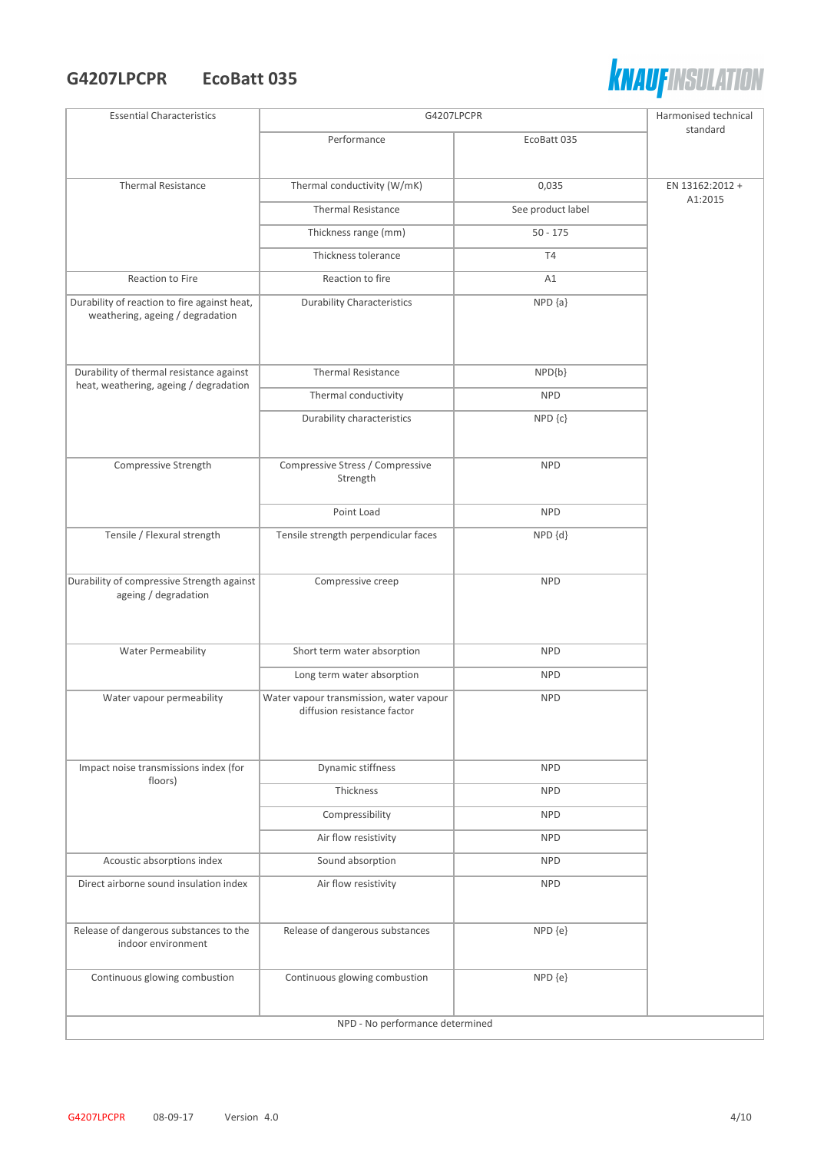#### **G4207LPCPR EcoBatt 035**



| <b>Essential Characteristics</b>                                                 | G4207LPCPR                                                             |                   | Harmonised technical |
|----------------------------------------------------------------------------------|------------------------------------------------------------------------|-------------------|----------------------|
|                                                                                  | Performance                                                            | EcoBatt 035       | standard             |
| <b>Thermal Resistance</b>                                                        | Thermal conductivity (W/mK)                                            | 0,035             | EN 13162:2012 +      |
|                                                                                  | <b>Thermal Resistance</b>                                              | See product label | A1:2015              |
|                                                                                  | Thickness range (mm)                                                   | $50 - 175$        |                      |
|                                                                                  | Thickness tolerance                                                    | T4                |                      |
| Reaction to Fire                                                                 | Reaction to fire                                                       | A1                |                      |
| Durability of reaction to fire against heat,<br>weathering, ageing / degradation | <b>Durability Characteristics</b>                                      | $NPD {a}$         |                      |
| Durability of thermal resistance against                                         | <b>Thermal Resistance</b>                                              | $NPD{b}$          |                      |
| heat, weathering, ageing / degradation                                           | Thermal conductivity                                                   | <b>NPD</b>        |                      |
|                                                                                  | Durability characteristics                                             | NPD {c}           |                      |
| Compressive Strength                                                             | Compressive Stress / Compressive<br>Strength                           | <b>NPD</b>        |                      |
|                                                                                  | Point Load                                                             | <b>NPD</b>        |                      |
| Tensile / Flexural strength                                                      | Tensile strength perpendicular faces                                   | NPD {d}           |                      |
| Durability of compressive Strength against<br>ageing / degradation               | Compressive creep                                                      | <b>NPD</b>        |                      |
| <b>Water Permeability</b>                                                        | Short term water absorption                                            | <b>NPD</b>        |                      |
|                                                                                  | Long term water absorption                                             | <b>NPD</b>        |                      |
| Water vapour permeability                                                        | Water vapour transmission, water vapour<br>diffusion resistance factor | <b>NPD</b>        |                      |
| Impact noise transmissions index (for                                            | Dynamic stiffness                                                      | <b>NPD</b>        |                      |
| floors)                                                                          | Thickness                                                              | <b>NPD</b>        |                      |
|                                                                                  | Compressibility                                                        | <b>NPD</b>        |                      |
|                                                                                  | Air flow resistivity                                                   | <b>NPD</b>        |                      |
| Acoustic absorptions index                                                       | Sound absorption                                                       | <b>NPD</b>        |                      |
| Direct airborne sound insulation index                                           | Air flow resistivity                                                   | <b>NPD</b>        |                      |
| Release of dangerous substances to the<br>indoor environment                     | Release of dangerous substances                                        | NPD {e}           |                      |
| Continuous glowing combustion                                                    | Continuous glowing combustion                                          | NPD {e}           |                      |
| NPD - No performance determined                                                  |                                                                        |                   |                      |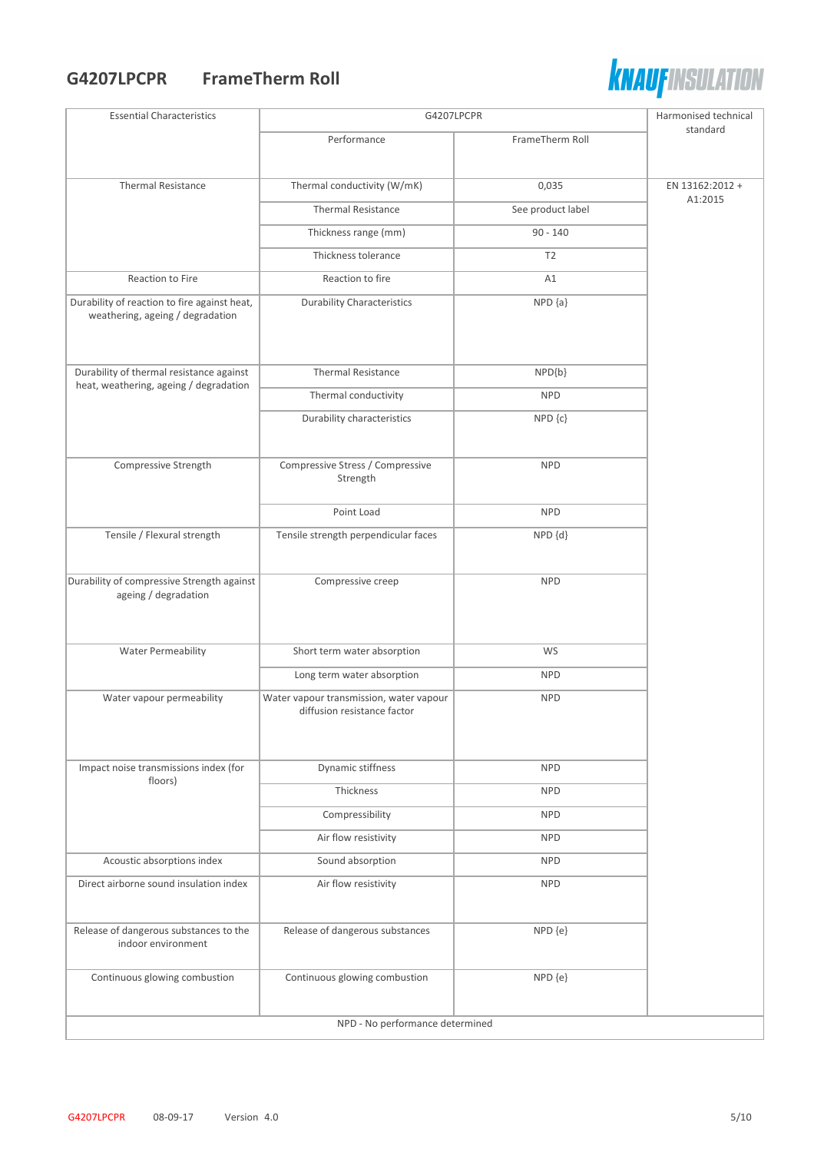#### **G4207LPCPR FrameTherm Roll**



| <b>Essential Characteristics</b>                                                 | G4207LPCPR                                                             |                   | Harmonised technical       |
|----------------------------------------------------------------------------------|------------------------------------------------------------------------|-------------------|----------------------------|
|                                                                                  | Performance                                                            | FrameTherm Roll   | standard                   |
|                                                                                  |                                                                        |                   |                            |
| <b>Thermal Resistance</b>                                                        | Thermal conductivity (W/mK)                                            | 0,035             | EN 13162:2012 +<br>A1:2015 |
|                                                                                  | <b>Thermal Resistance</b>                                              | See product label |                            |
|                                                                                  | Thickness range (mm)                                                   | $90 - 140$        |                            |
|                                                                                  | Thickness tolerance                                                    | T <sub>2</sub>    |                            |
| Reaction to Fire                                                                 | Reaction to fire                                                       | A1                |                            |
| Durability of reaction to fire against heat,<br>weathering, ageing / degradation | <b>Durability Characteristics</b>                                      | $NPD {a}$         |                            |
| Durability of thermal resistance against                                         | <b>Thermal Resistance</b>                                              | NPD{b}            |                            |
| heat, weathering, ageing / degradation                                           | Thermal conductivity                                                   | <b>NPD</b>        |                            |
|                                                                                  | Durability characteristics                                             | NPD {c}           |                            |
|                                                                                  |                                                                        |                   |                            |
| Compressive Strength                                                             | Compressive Stress / Compressive<br>Strength                           | <b>NPD</b>        |                            |
|                                                                                  | Point Load                                                             | <b>NPD</b>        |                            |
| Tensile / Flexural strength                                                      | Tensile strength perpendicular faces                                   | NPD {d}           |                            |
|                                                                                  |                                                                        |                   |                            |
| Durability of compressive Strength against<br>ageing / degradation               | Compressive creep                                                      | <b>NPD</b>        |                            |
|                                                                                  |                                                                        |                   |                            |
|                                                                                  |                                                                        |                   |                            |
| <b>Water Permeability</b>                                                        | Short term water absorption                                            | WS                |                            |
|                                                                                  | Long term water absorption                                             | <b>NPD</b>        |                            |
| Water vapour permeability                                                        | Water vapour transmission, water vapour<br>diffusion resistance factor | <b>NPD</b>        |                            |
|                                                                                  |                                                                        |                   |                            |
|                                                                                  |                                                                        |                   |                            |
| Impact noise transmissions index (for<br>floors)                                 | Dynamic stiffness                                                      | <b>NPD</b>        |                            |
|                                                                                  | Thickness                                                              | <b>NPD</b>        |                            |
|                                                                                  | Compressibility                                                        | <b>NPD</b>        |                            |
|                                                                                  | Air flow resistivity                                                   | <b>NPD</b>        |                            |
| Acoustic absorptions index                                                       | Sound absorption                                                       | <b>NPD</b>        |                            |
| Direct airborne sound insulation index                                           | Air flow resistivity                                                   | <b>NPD</b>        |                            |
|                                                                                  |                                                                        |                   |                            |
| Release of dangerous substances to the<br>indoor environment                     | Release of dangerous substances                                        | NPD {e}           |                            |
| Continuous glowing combustion                                                    | Continuous glowing combustion                                          | NPD {e}           |                            |
|                                                                                  | NPD - No performance determined                                        |                   |                            |
|                                                                                  |                                                                        |                   |                            |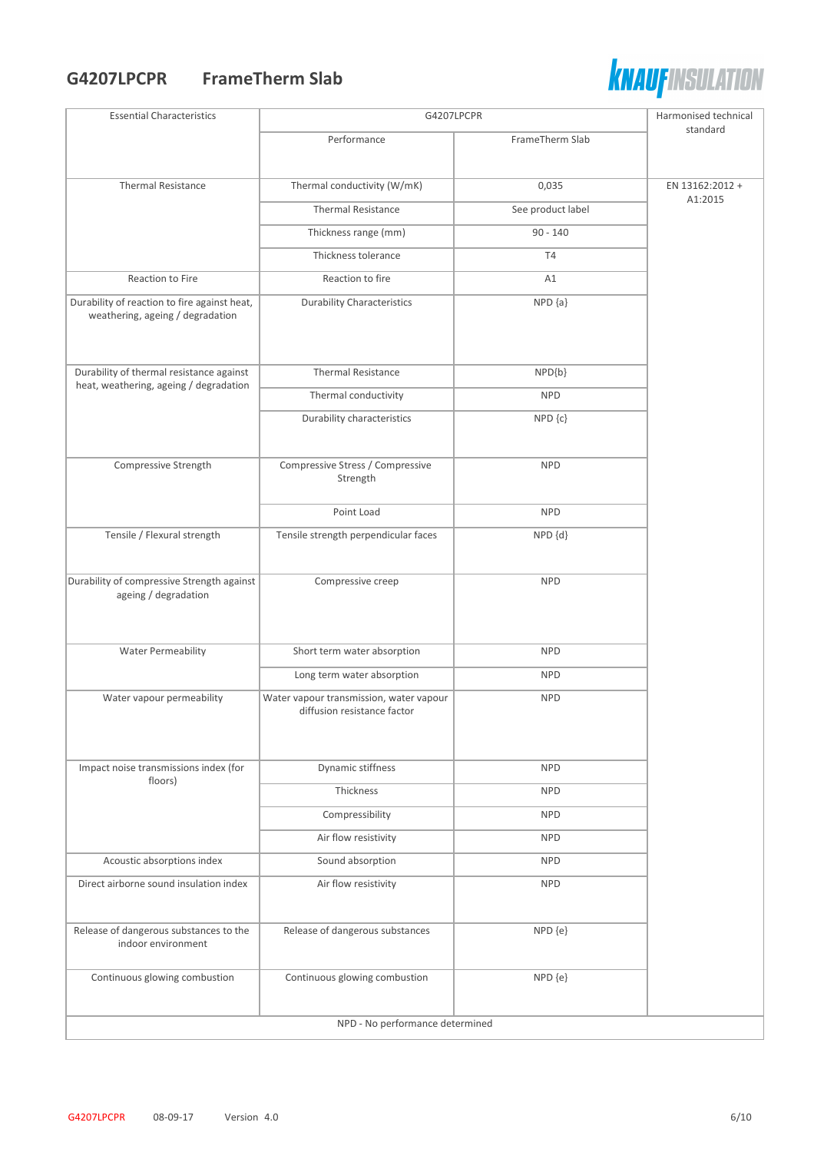#### **G4207LPCPR FrameTherm Slab**



| <b>Essential Characteristics</b>                                                 | G4207LPCPR                                                             |                   | Harmonised technical |
|----------------------------------------------------------------------------------|------------------------------------------------------------------------|-------------------|----------------------|
|                                                                                  | Performance                                                            | FrameTherm Slab   | standard             |
|                                                                                  |                                                                        |                   |                      |
| <b>Thermal Resistance</b>                                                        | Thermal conductivity (W/mK)                                            | 0,035             | EN 13162:2012 +      |
|                                                                                  | <b>Thermal Resistance</b>                                              | See product label | A1:2015              |
|                                                                                  | Thickness range (mm)                                                   | $90 - 140$        |                      |
|                                                                                  | Thickness tolerance                                                    | <b>T4</b>         |                      |
| Reaction to Fire                                                                 | Reaction to fire                                                       | A1                |                      |
| Durability of reaction to fire against heat,<br>weathering, ageing / degradation | <b>Durability Characteristics</b>                                      | $NPD {a}$         |                      |
| Durability of thermal resistance against                                         | <b>Thermal Resistance</b>                                              | $NPD{b}$          |                      |
| heat, weathering, ageing / degradation                                           | Thermal conductivity                                                   | <b>NPD</b>        |                      |
|                                                                                  | Durability characteristics                                             | NPD {c}           |                      |
|                                                                                  |                                                                        |                   |                      |
| Compressive Strength                                                             | Compressive Stress / Compressive<br>Strength                           | <b>NPD</b>        |                      |
|                                                                                  | Point Load                                                             | <b>NPD</b>        |                      |
| Tensile / Flexural strength                                                      | Tensile strength perpendicular faces                                   | NPD {d}           |                      |
| Durability of compressive Strength against<br>ageing / degradation               | Compressive creep                                                      | <b>NPD</b>        |                      |
| <b>Water Permeability</b>                                                        | Short term water absorption                                            | <b>NPD</b>        |                      |
|                                                                                  | Long term water absorption                                             | <b>NPD</b>        |                      |
| Water vapour permeability                                                        | Water vapour transmission, water vapour<br>diffusion resistance factor | <b>NPD</b>        |                      |
| Impact noise transmissions index (for                                            | Dynamic stiffness                                                      | <b>NPD</b>        |                      |
| floors)                                                                          | Thickness                                                              | <b>NPD</b>        |                      |
|                                                                                  | Compressibility                                                        | <b>NPD</b>        |                      |
|                                                                                  | Air flow resistivity                                                   | <b>NPD</b>        |                      |
| Acoustic absorptions index                                                       | Sound absorption                                                       | <b>NPD</b>        |                      |
| Direct airborne sound insulation index                                           | Air flow resistivity                                                   | <b>NPD</b>        |                      |
|                                                                                  |                                                                        |                   |                      |
| Release of dangerous substances to the<br>indoor environment                     | Release of dangerous substances                                        | NPD {e}           |                      |
| Continuous glowing combustion                                                    | Continuous glowing combustion                                          | NPD {e}           |                      |
| NPD - No performance determined                                                  |                                                                        |                   |                      |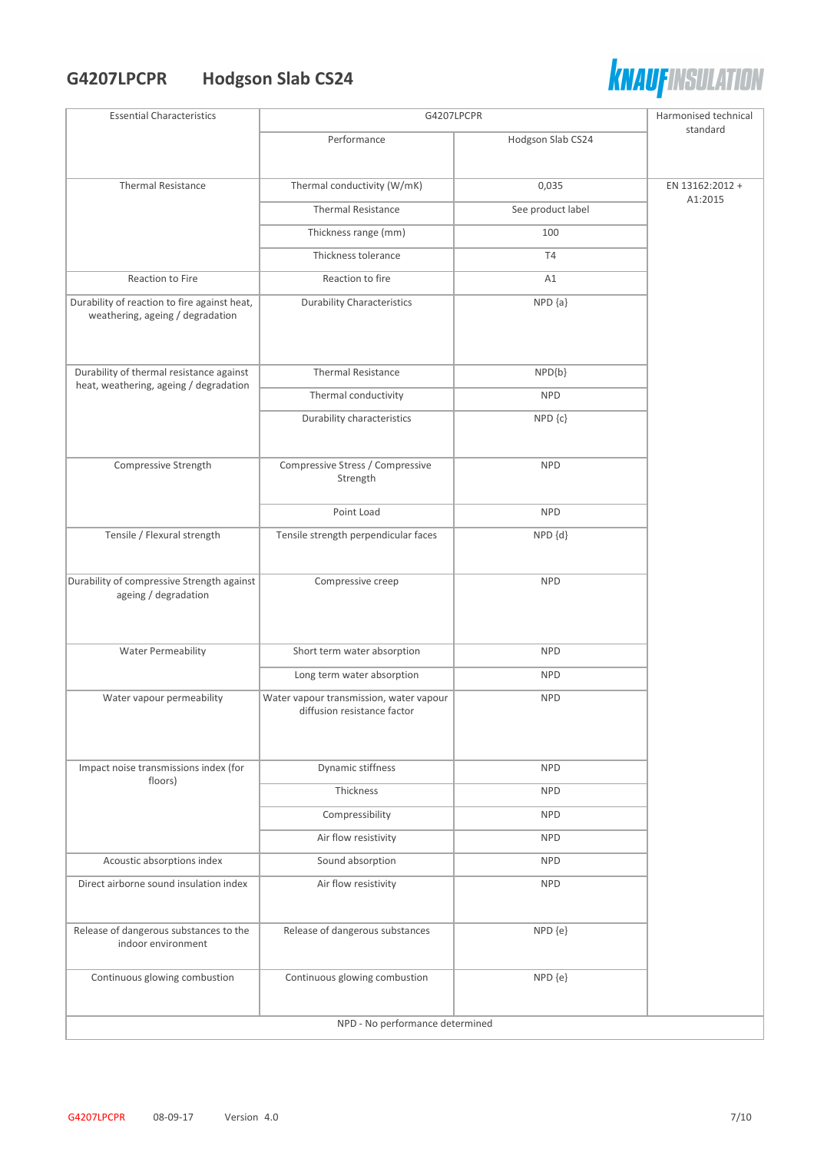# **G4207LPCPR Hodgson Slab CS24**



| <b>Essential Characteristics</b>                                                 | G4207LPCPR                                                             |                   | Harmonised technical |
|----------------------------------------------------------------------------------|------------------------------------------------------------------------|-------------------|----------------------|
|                                                                                  | Performance                                                            | Hodgson Slab CS24 | standard             |
|                                                                                  |                                                                        |                   |                      |
| <b>Thermal Resistance</b>                                                        | Thermal conductivity (W/mK)                                            | 0,035             | EN 13162:2012 +      |
|                                                                                  | <b>Thermal Resistance</b>                                              | See product label | A1:2015              |
|                                                                                  | Thickness range (mm)                                                   | 100               |                      |
|                                                                                  | Thickness tolerance                                                    | <b>T4</b>         |                      |
| Reaction to Fire                                                                 | Reaction to fire                                                       | A1                |                      |
| Durability of reaction to fire against heat,<br>weathering, ageing / degradation | <b>Durability Characteristics</b>                                      | $NPD {a}$         |                      |
| Durability of thermal resistance against                                         | <b>Thermal Resistance</b>                                              | $NPD{b}$          |                      |
| heat, weathering, ageing / degradation                                           | Thermal conductivity                                                   | <b>NPD</b>        |                      |
|                                                                                  | Durability characteristics                                             | $NPD$ $\{c\}$     |                      |
| Compressive Strength                                                             | Compressive Stress / Compressive<br>Strength                           | <b>NPD</b>        |                      |
|                                                                                  | Point Load                                                             | <b>NPD</b>        |                      |
| Tensile / Flexural strength                                                      | Tensile strength perpendicular faces                                   | NPD {d}           |                      |
| Durability of compressive Strength against<br>ageing / degradation               | Compressive creep                                                      | <b>NPD</b>        |                      |
| <b>Water Permeability</b>                                                        | Short term water absorption                                            | <b>NPD</b>        |                      |
|                                                                                  | Long term water absorption                                             | <b>NPD</b>        |                      |
| Water vapour permeability                                                        | Water vapour transmission, water vapour<br>diffusion resistance factor | <b>NPD</b>        |                      |
| Impact noise transmissions index (for<br>floors)                                 | Dynamic stiffness                                                      | <b>NPD</b>        |                      |
|                                                                                  | Thickness                                                              | <b>NPD</b>        |                      |
|                                                                                  | Compressibility                                                        | <b>NPD</b>        |                      |
|                                                                                  | Air flow resistivity                                                   | <b>NPD</b>        |                      |
| Acoustic absorptions index                                                       | Sound absorption                                                       | <b>NPD</b>        |                      |
| Direct airborne sound insulation index                                           | Air flow resistivity                                                   | <b>NPD</b>        |                      |
| Release of dangerous substances to the<br>indoor environment                     | Release of dangerous substances                                        | NPD {e}           |                      |
| Continuous glowing combustion                                                    | Continuous glowing combustion                                          | NPD {e}           |                      |
|                                                                                  | NPD - No performance determined                                        |                   |                      |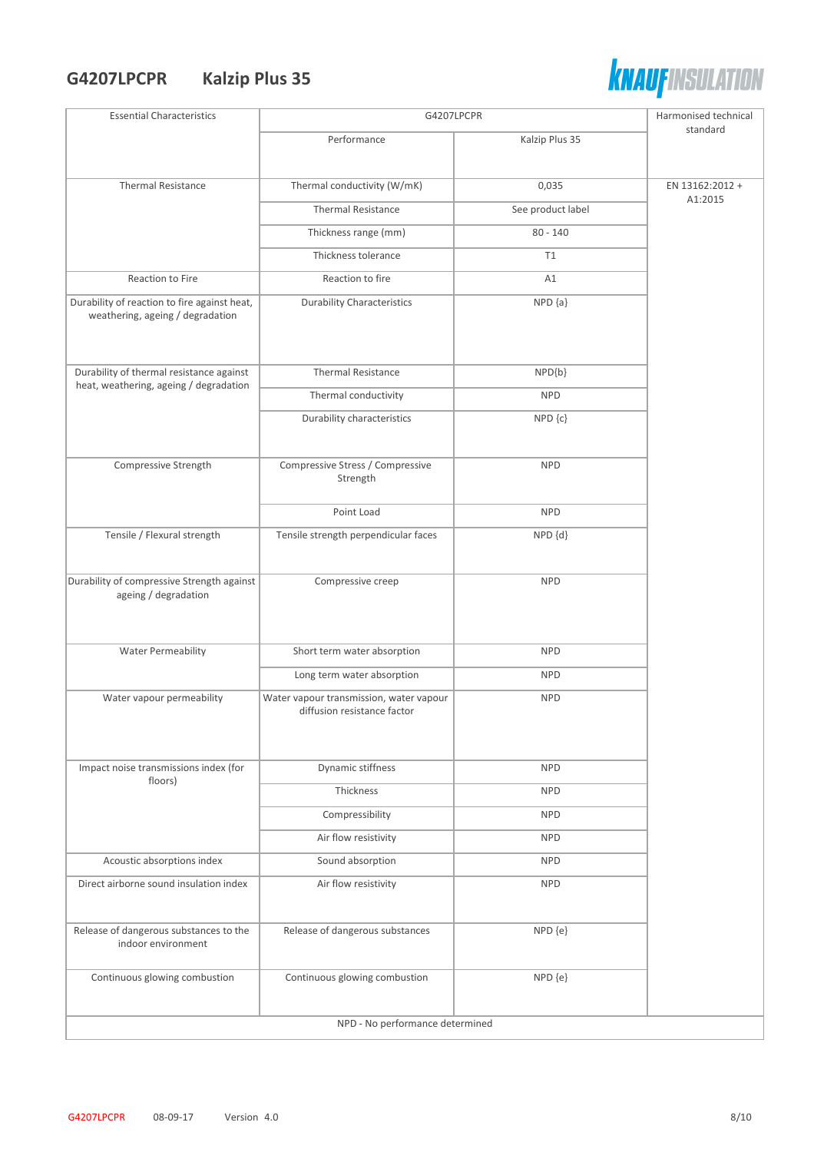## **G4207LPCPR Kalzip Plus 35**



| <b>Essential Characteristics</b>                                                 | G4207LPCPR                                                             |                   | Harmonised technical       |
|----------------------------------------------------------------------------------|------------------------------------------------------------------------|-------------------|----------------------------|
|                                                                                  | Performance                                                            | Kalzip Plus 35    | standard                   |
|                                                                                  |                                                                        |                   |                            |
| <b>Thermal Resistance</b>                                                        | Thermal conductivity (W/mK)                                            | 0,035             | EN 13162:2012 +<br>A1:2015 |
|                                                                                  | <b>Thermal Resistance</b>                                              | See product label |                            |
|                                                                                  | Thickness range (mm)                                                   | $80 - 140$        |                            |
|                                                                                  | Thickness tolerance                                                    | T1                |                            |
| Reaction to Fire                                                                 | Reaction to fire                                                       | A1                |                            |
| Durability of reaction to fire against heat,<br>weathering, ageing / degradation | <b>Durability Characteristics</b>                                      | $NPD {a}$         |                            |
| Durability of thermal resistance against                                         | <b>Thermal Resistance</b>                                              | $NPD{b}$          |                            |
| heat, weathering, ageing / degradation                                           | Thermal conductivity                                                   | <b>NPD</b>        |                            |
|                                                                                  | Durability characteristics                                             | NPD {c}           |                            |
|                                                                                  |                                                                        |                   |                            |
| Compressive Strength                                                             | Compressive Stress / Compressive<br>Strength                           | <b>NPD</b>        |                            |
|                                                                                  | Point Load                                                             | <b>NPD</b>        |                            |
| Tensile / Flexural strength                                                      | Tensile strength perpendicular faces                                   | NPD {d}           |                            |
| Durability of compressive Strength against<br>ageing / degradation               | Compressive creep                                                      | <b>NPD</b>        |                            |
| <b>Water Permeability</b>                                                        | Short term water absorption                                            | <b>NPD</b>        |                            |
|                                                                                  | Long term water absorption                                             | <b>NPD</b>        |                            |
| Water vapour permeability                                                        | Water vapour transmission, water vapour<br>diffusion resistance factor | <b>NPD</b>        |                            |
| Impact noise transmissions index (for                                            | Dynamic stiffness                                                      | <b>NPD</b>        |                            |
| floors)                                                                          | Thickness                                                              | <b>NPD</b>        |                            |
|                                                                                  | Compressibility                                                        | <b>NPD</b>        |                            |
|                                                                                  | Air flow resistivity                                                   | <b>NPD</b>        |                            |
| Acoustic absorptions index                                                       | Sound absorption                                                       | <b>NPD</b>        |                            |
| Direct airborne sound insulation index                                           | Air flow resistivity                                                   | <b>NPD</b>        |                            |
| Release of dangerous substances to the<br>indoor environment                     | Release of dangerous substances                                        | NPD {e}           |                            |
| Continuous glowing combustion                                                    | Continuous glowing combustion                                          | NPD {e}           |                            |
| NPD - No performance determined                                                  |                                                                        |                   |                            |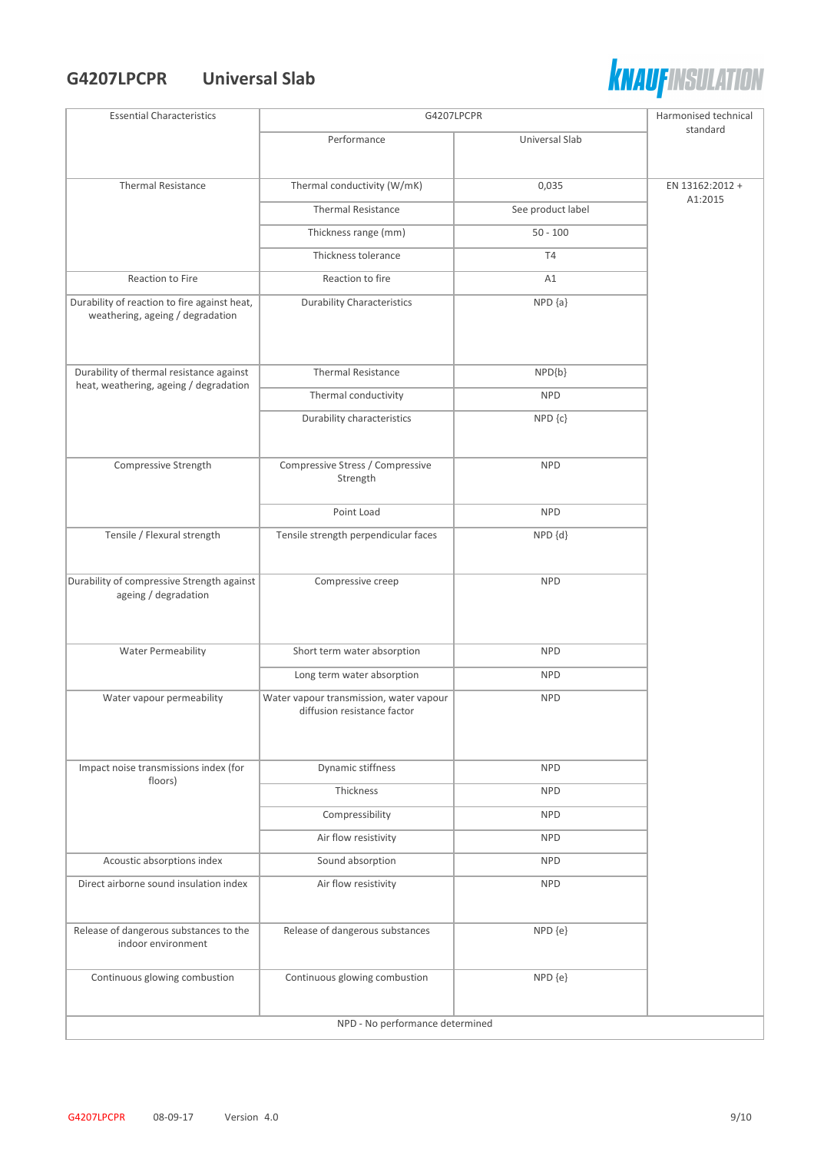#### **G4207LPCPR Universal Slab**



| <b>Essential Characteristics</b>                                                 | G4207LPCPR                                                             |                   | Harmonised technical       |
|----------------------------------------------------------------------------------|------------------------------------------------------------------------|-------------------|----------------------------|
|                                                                                  | Performance                                                            | Universal Slab    | standard                   |
|                                                                                  |                                                                        |                   |                            |
| <b>Thermal Resistance</b>                                                        | Thermal conductivity (W/mK)                                            | 0,035             | EN 13162:2012 +<br>A1:2015 |
|                                                                                  | <b>Thermal Resistance</b>                                              | See product label |                            |
|                                                                                  | Thickness range (mm)                                                   | $50 - 100$        |                            |
|                                                                                  | Thickness tolerance                                                    | <b>T4</b>         |                            |
| Reaction to Fire                                                                 | Reaction to fire                                                       | A1                |                            |
| Durability of reaction to fire against heat,<br>weathering, ageing / degradation | <b>Durability Characteristics</b>                                      | $NPD {a}$         |                            |
| Durability of thermal resistance against                                         | <b>Thermal Resistance</b>                                              | NPD{b}            |                            |
| heat, weathering, ageing / degradation                                           | Thermal conductivity                                                   | <b>NPD</b>        |                            |
|                                                                                  | Durability characteristics                                             | NPD {c}           |                            |
|                                                                                  |                                                                        |                   |                            |
| Compressive Strength                                                             | Compressive Stress / Compressive<br>Strength                           | <b>NPD</b>        |                            |
|                                                                                  | Point Load                                                             | <b>NPD</b>        |                            |
| Tensile / Flexural strength                                                      | Tensile strength perpendicular faces                                   | NPD {d}           |                            |
|                                                                                  |                                                                        |                   |                            |
| Durability of compressive Strength against<br>ageing / degradation               | Compressive creep                                                      | <b>NPD</b>        |                            |
|                                                                                  |                                                                        |                   |                            |
|                                                                                  |                                                                        |                   |                            |
| Water Permeability                                                               | Short term water absorption                                            | <b>NPD</b>        |                            |
|                                                                                  | Long term water absorption                                             | <b>NPD</b>        |                            |
| Water vapour permeability                                                        | Water vapour transmission, water vapour<br>diffusion resistance factor | <b>NPD</b>        |                            |
|                                                                                  |                                                                        |                   |                            |
|                                                                                  |                                                                        |                   |                            |
| Impact noise transmissions index (for                                            | Dynamic stiffness                                                      | <b>NPD</b>        |                            |
| floors)                                                                          | Thickness                                                              | <b>NPD</b>        |                            |
|                                                                                  | Compressibility                                                        | <b>NPD</b>        |                            |
|                                                                                  | Air flow resistivity                                                   | <b>NPD</b>        |                            |
| Acoustic absorptions index                                                       | Sound absorption                                                       | <b>NPD</b>        |                            |
| Direct airborne sound insulation index                                           | Air flow resistivity                                                   | <b>NPD</b>        |                            |
| Release of dangerous substances to the                                           | Release of dangerous substances                                        | NPD {e}           |                            |
| indoor environment                                                               |                                                                        |                   |                            |
| Continuous glowing combustion                                                    | Continuous glowing combustion                                          | NPD {e}           |                            |
|                                                                                  | NPD - No performance determined                                        |                   |                            |
|                                                                                  |                                                                        |                   |                            |